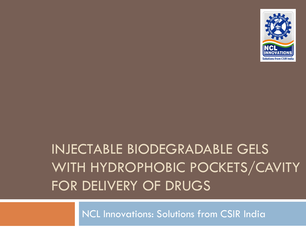

# INJECTABLE BIODEGRADABLE GELS WITH HYDROPHOBIC POCKETS/CAVITY FOR DELIVERY OF DRUGS

NCL Innovations: Solutions from CSIR India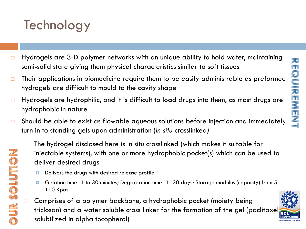## **Technology**

**DURSOLUTION** 

- $\Box$  Hydrogels are 3-D polymer networks with an unique ability to hold water, maintaining semi-solid state giving them physical characteristics similar to soft tissues
- $\Box$  Their applications in biomedicine require them to be easily administrable as preformed hydrogels are difficult to mould to the cavity shape
- $\Box$  Hydrogels are hydrophilic, and it is difficult to load drugs into them, as most drugs are hydrophobic in nature
- $\square$  Should be able to exist as flowable aqueous solutions before injection and immediately turn in to standing gels upon administration (*in situ* crosslinked*)*
	- $\Box$  The hydrogel disclosed here is in situ crosslinked (which makes it suitable for injectable systems), with one or more hydrophobic pocket(s) which can be used to deliver desired drugs
		- $\Box$  Delivers the drugs with desired release profile
		- Gelation time- 1 to 30 minutes; Degradation time- 1- 30 days; Storage modulus (capacity) from 5- 110 Kpas
	- $\Box$  Comprises of a polymer backbone, a hydrophobic pocket (moiety being triclosan) and a water soluble cross linker for the formation of the gel (paclitaxel solubilized in alpha tocopherol)

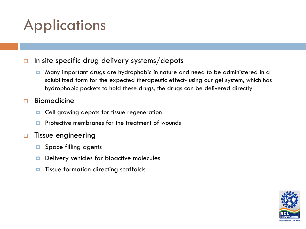# **Applications**

### $\Box$  In site specific drug delivery systems/depots

**D** Many important drugs are hydrophobic in nature and need to be administered in a solubilized form for the expected therapeutic effect- using our gel system, which has hydrophobic pockets to hold these drugs, the drugs can be delivered directly

### $\Box$  Biomedicine

- **D** Cell growing depots for tissue regeneration
- **P** Protective membranes for the treatment of wounds

### $\Box$  Tissue engineering

- $\Box$  Space filling agents
- Delivery vehicles for bioactive molecules
- **T** Tissue formation directing scaffolds

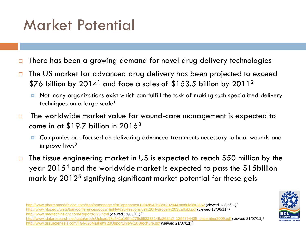## Market Potential

- $\Box$  There has been a growing demand for novel drug delivery technologies
- □ The US market for advanced drug delivery has been projected to exceed \$76 billion by 2014<sup>1</sup> and face a sales of \$153.5 billion by 2011<sup>2</sup>
	- **D** Not many organizations exist which can fulfill the task of making such specialized delivery techniques on a large scale<sup>1</sup>
- $\Box$  The worldwide market value for wound-care management is expected to come in at  $$19.7$  billion in 2016<sup>3</sup>
	- **D** Companies are focused on delivering advanced treatments necessary to heal wounds and improve lives $3$
- $\Box$  The tissue engineering market in US is expected to reach \$50 million by the year 20154 and the worldwide market is expected to pass the \$15billion mark by  $2012<sup>5</sup>$  signifying significant market potential for these gels

<http://www.pharmameddevice.com/App/homepage.cfm?appname=100485&linkid=23294&moduleid=3162> (viewed 13/06/11) <sup>1</sup> [http://www.hbs.edu/units/tom/conferences/docs/Highly%20Responsive%20Hydrogel%20Scaffold.pdf](http://www.hbs.edu/units/tom/conferences/docs/Highly Responsive Hydrogel Scaffold.pdf) (viewed 13/06/11) <sup>2</sup> <http://www.medtechinsight.com/ReportA125.html> (viewed 13/06/11) 3 [http://www.idataresearch.net/idata/articleUpload/28c541a169fa276c552233149a262fa2\\_1259794435\\_december2009.pdf](http://www.idataresearch.net/idata/articleUpload/28c541a169fa276c552233149a262fa2_1259794435_december2009.pdf) (viewed 21/07/11)<sup>4</sup> [http://www.tissuegenesis.com/TGI%20Market%20Opportunity%20Brochure.pdf](http://www.tissuegenesis.com/TGI Market Opportunity Brochure.pdf) (viewed 21/07/11)<sup>5</sup>

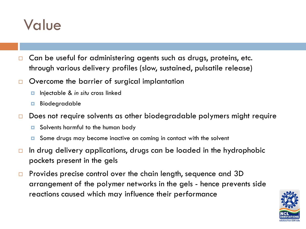### Value

- $\Box$  Can be useful for administering agents such as drugs, proteins, etc. through various delivery profiles (slow, sustained, pulsatile release)
- $\Box$  Overcome the barrier of surgical implantation
	- Injectable & *in situ* cross linked
	- Biodegradable
- □ Does not require solvents as other biodegradable polymers might require
	- Solvents harmful to the human body
	- **□** Some drugs may become inactive on coming in contact with the solvent
- $\Box$  In drug delivery applications, drugs can be loaded in the hydrophobic pockets present in the gels
- □ Provides precise control over the chain length, sequence and 3D arrangement of the polymer networks in the gels - hence prevents side reactions caused which may influence their performance

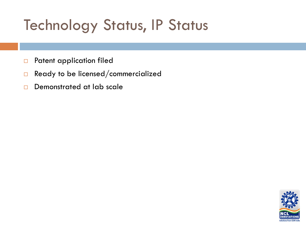# Technology Status, IP Status

- **D** Patent application filed
- $\Box$  Ready to be licensed/commercialized
- Demonstrated at lab scale

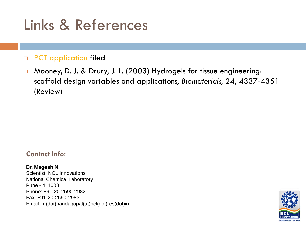# Links & References

### **D** [PCT application](http://www.wipo.int/patentscope/search/docservicepdf_pct/id00000014154820?download) filed

□ Mooney, D. J. & Drury, J. L. (2003) Hydrogels for tissue engineering: scaffold design variables and applications, *Biomaterials,* 24, 4337-4351 (Review)

#### **Contact Info:**

**Dr. Magesh N.**  Scientist, NCL Innovations National Chemical Laboratory Pune - 411008 Phone: +91-20-2590-2982 Fax: +91-20-2590-2983 Email: m(dot)nandagopal(at)ncl(dot)res(dot)in